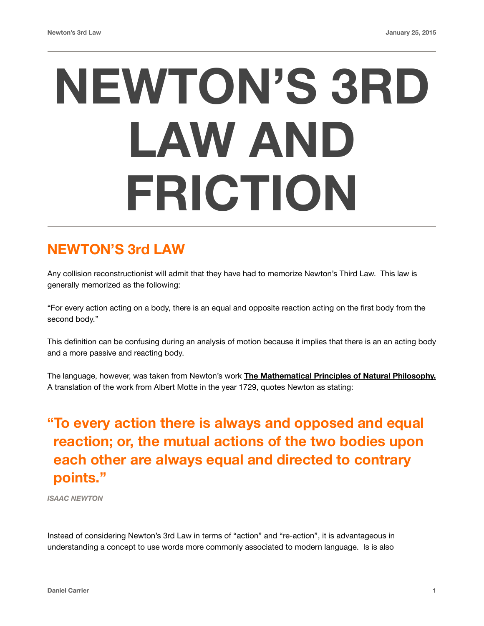# **NEWTON'S 3RD LAW AND FRICTION**

#### **NEWTON'S 3rd LAW**

Any collision reconstructionist will admit that they have had to memorize Newton's Third Law. This law is generally memorized as the following:

"For every action acting on a body, there is an equal and opposite reaction acting on the first body from the second body."

This definition can be confusing during an analysis of motion because it implies that there is an an acting body and a more passive and reacting body.

The language, however, was taken from Newton's work **The Mathematical Principles of Natural Philosophy.**  A translation of the work from Albert Motte in the year 1729, quotes Newton as stating:

## **"To every action there is always and opposed and equal reaction; or, the mutual actions of the two bodies upon each other are always equal and directed to contrary points."**

*ISAAC NEWTON*

Instead of considering Newton's 3rd Law in terms of "action" and "re-action", it is advantageous in understanding a concept to use words more commonly associated to modern language. Is is also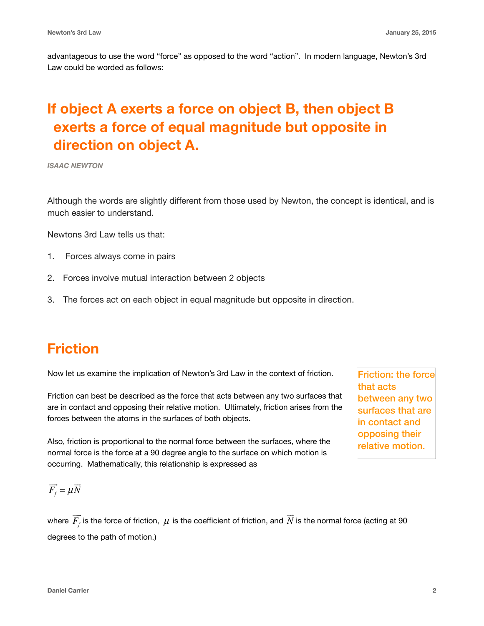advantageous to use the word "force" as opposed to the word "action". In modern language, Newton's 3rd Law could be worded as follows:

### **If object A exerts a force on object B, then object B exerts a force of equal magnitude but opposite in direction on object A.**

*ISAAC NEWTON*

Although the words are slightly different from those used by Newton, the concept is identical, and is much easier to understand.

Newtons 3rd Law tells us that:

- 1. Forces always come in pairs
- 2. Forces involve mutual interaction between 2 objects
- 3. The forces act on each object in equal magnitude but opposite in direction.

#### **Friction**

Now let us examine the implication of Newton's 3rd Law in the context of friction.

Friction can best be described as the force that acts between any two surfaces that are in contact and opposing their relative motion. Ultimately, friction arises from the forces between the atoms in the surfaces of both objects.

Also, friction is proportional to the normal force between the surfaces, where the normal force is the force at a 90 degree angle to the surface on which motion is occurring. Mathematically, this relationship is expressed as

Friction: the force that acts between any two surfaces that are in contact and opposing their relative motion.

$$
\overrightarrow{F}_f = \mu \overrightarrow{N}
$$

where  $\,F_{\!f}$  is the force of friction,  $\,\mu\,$  is the coefficient of friction, and  $\,N$  is the normal force (acting at 90  $\,$ degrees to the path of motion.)  $\Rightarrow$  $\mu$  is the coefficient of friction, and  $N$ !!<br>: :